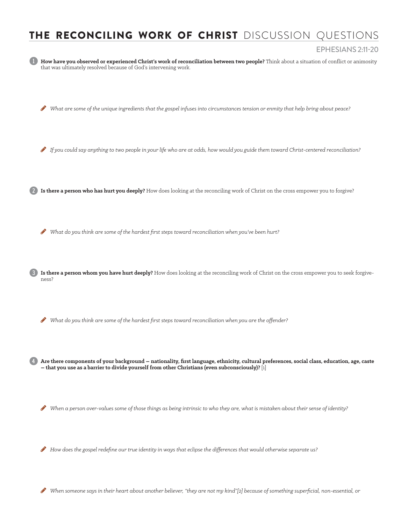## THE RECONCILING WORK OF CHRIST DISCUSSION QUESTIONS

1 **How have you observed or experienced Christ's work of reconciliation between two people?** Think about a situation of conflict or animosity that was ultimately resolved because of God's intervening work.  $\bullet$  What are some of the unique ingredients that the gospel infuses into circumstances tension or enmity that help bring about peace? H *If you could say anything to two people in your life who are at odds, how would you guide them toward Christ-centered reconciliation?*  2 **Is there a person who has hurt you deeply?** How does looking at the reconciling work of Christ on the cross empower you to forgive? H *What do you think are some of the hardest first steps toward reconciliation when you've been hurt?*  3 **Is there a person whom you have hurt deeply?** How does looking at the reconciling work of Christ on the cross empower you to seek forgiveness?  $\bullet$  What do you think are some of the hardest first steps toward reconciliation when you are the offender? 4 **Are there components of your background – nationality, first language, ethnicity, cultural preferences, social class, education, age, caste – that you use as a barrier to divide yourself from other Christians (even subconsciously)?** [1]  $\bullet$  When a person over-values some of those things as being intrinsic to who they are, what is mistaken about their sense of identity?  $\bullet$  How does the gospel redefine our true identity in ways that eclipse the differences that would otherwise separate us? When someone says in their heart about another believer, "they are not my kind"[2] because of something superficial, non-essential, or EPHESIANS 2:11-20